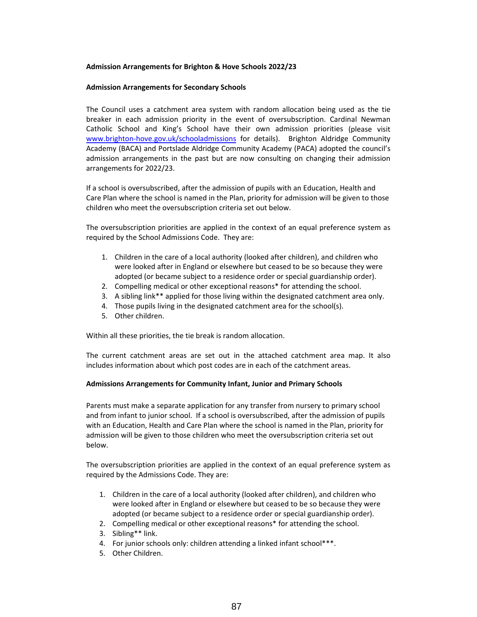# **Admission Arrangements for Brighton & Hove Schools 2022/23**

## **Admission Arrangements for Secondary Schools**

The Council uses a catchment area system with random allocation being used as the tie breaker in each admission priority in the event of oversubscription. Cardinal Newman Catholic School and King's School have their own admission priorities (please visit www.brighton-hove.gov.uk/schooladmissions for details). Brighton Aldridge Community Academy (BACA) and Portslade Aldridge Community Academy (PACA) adopted the council's admission arrangements in the past but are now consulting on changing their admission arrangements for 2022/23.

If a school is oversubscribed, after the admission of pupils with an Education, Health and Care Plan where the school is named in the Plan, priority for admission will be given to those children who meet the oversubscription criteria set out below.

The oversubscription priorities are applied in the context of an equal preference system as required by the School Admissions Code. They are:

- 1. Children in the care of a local authority (looked after children), and children who were looked after in England or elsewhere but ceased to be so because they were adopted (or became subject to a residence order or special guardianship order).
- 2. Compelling medical or other exceptional reasons\* for attending the school.
- 3. A sibling link\*\* applied for those living within the designated catchment area only.
- 4. Those pupils living in the designated catchment area for the school(s).
- 5. Other children.

Within all these priorities, the tie break is random allocation.

The current catchment areas are set out in the attached catchment area map. It also includes information about which post codes are in each of the catchment areas.

## **Admissions Arrangements for Community Infant, Junior and Primary Schools**

Parents must make a separate application for any transfer from nursery to primary school and from infant to junior school. If a school is oversubscribed, after the admission of pupils with an Education, Health and Care Plan where the school is named in the Plan, priority for admission will be given to those children who meet the oversubscription criteria set out below.

The oversubscription priorities are applied in the context of an equal preference system as required by the Admissions Code. They are:

- 1. Children in the care of a local authority (looked after children), and children who were looked after in England or elsewhere but ceased to be so because they were adopted (or became subject to a residence order or special guardianship order).
- 2. Compelling medical or other exceptional reasons\* for attending the school.
- 3. Sibling\*\* link.
- 4. For junior schools only: children attending a linked infant school\*\*\*.
- 5. Other Children.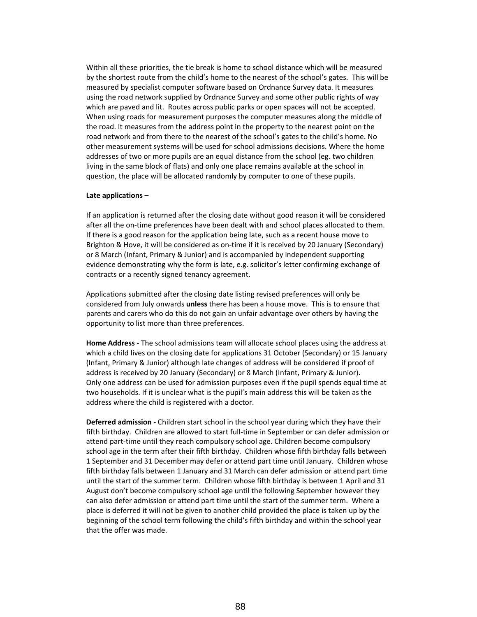Within all these priorities, the tie break is home to school distance which will be measured by the shortest route from the child's home to the nearest of the school's gates. This will be measured by specialist computer software based on Ordnance Survey data. It measures using the road network supplied by Ordnance Survey and some other public rights of way which are paved and lit. Routes across public parks or open spaces will not be accepted. When using roads for measurement purposes the computer measures along the middle of the road. It measures from the address point in the property to the nearest point on the road network and from there to the nearest of the school's gates to the child's home. No other measurement systems will be used for school admissions decisions. Where the home addresses of two or more pupils are an equal distance from the school (eg. two children living in the same block of flats) and only one place remains available at the school in question, the place will be allocated randomly by computer to one of these pupils.

## **Late applications –**

If an application is returned after the closing date without good reason it will be considered after all the on‐time preferences have been dealt with and school places allocated to them. If there is a good reason for the application being late, such as a recent house move to Brighton & Hove, it will be considered as on-time if it is received by 20 January (Secondary) or 8 March (Infant, Primary & Junior) and is accompanied by independent supporting evidence demonstrating why the form is late, e.g. solicitor's letter confirming exchange of contracts or a recently signed tenancy agreement.

Applications submitted after the closing date listing revised preferences will only be considered from July onwards **unless** there has been a house move. This is to ensure that parents and carers who do this do not gain an unfair advantage over others by having the opportunity to list more than three preferences.

**Home Address ‐** The school admissions team will allocate school places using the address at which a child lives on the closing date for applications 31 October (Secondary) or 15 January (Infant, Primary & Junior) although late changes of address will be considered if proof of address is received by 20 January (Secondary) or 8 March (Infant, Primary & Junior). Only one address can be used for admission purposes even if the pupil spends equal time at two households. If it is unclear what is the pupil's main address this will be taken as the address where the child is registered with a doctor.

**Deferred admission ‐** Children start school in the school year during which they have their fifth birthday. Children are allowed to start full‐time in September or can defer admission or attend part-time until they reach compulsory school age. Children become compulsory school age in the term after their fifth birthday. Children whose fifth birthday falls between 1 September and 31 December may defer or attend part time until January. Children whose fifth birthday falls between 1 January and 31 March can defer admission or attend part time until the start of the summer term. Children whose fifth birthday is between 1 April and 31 August don't become compulsory school age until the following September however they can also defer admission or attend part time until the start of the summer term. Where a place is deferred it will not be given to another child provided the place is taken up by the beginning of the school term following the child's fifth birthday and within the school year that the offer was made.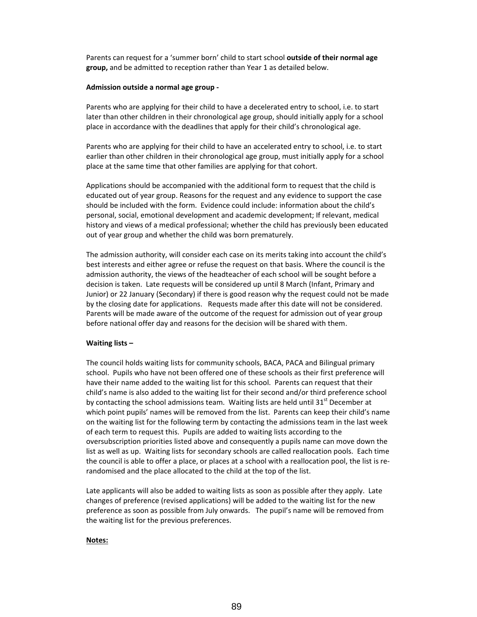Parents can request for a 'summer born' child to start school **outside of their normal age group,** and be admitted to reception rather than Year 1 as detailed below.

#### **Admission outside a normal age group ‐**

Parents who are applying for their child to have a decelerated entry to school, i.e. to start later than other children in their chronological age group, should initially apply for a school place in accordance with the deadlines that apply for their child's chronological age.

Parents who are applying for their child to have an accelerated entry to school, i.e. to start earlier than other children in their chronological age group, must initially apply for a school place at the same time that other families are applying for that cohort.

Applications should be accompanied with the additional form to request that the child is educated out of year group. Reasons for the request and any evidence to support the case should be included with the form. Evidence could include: information about the child's personal, social, emotional development and academic development; If relevant, medical history and views of a medical professional; whether the child has previously been educated out of year group and whether the child was born prematurely.

The admission authority, will consider each case on its merits taking into account the child's best interests and either agree or refuse the request on that basis. Where the council is the admission authority, the views of the headteacher of each school will be sought before a decision is taken. Late requests will be considered up until 8 March (Infant, Primary and Junior) or 22 January (Secondary) if there is good reason why the request could not be made by the closing date for applications. Requests made after this date will not be considered. Parents will be made aware of the outcome of the request for admission out of year group before national offer day and reasons for the decision will be shared with them.

## **Waiting lists –**

The council holds waiting lists for community schools, BACA, PACA and Bilingual primary school. Pupils who have not been offered one of these schools as their first preference will have their name added to the waiting list for this school. Parents can request that their child's name is also added to the waiting list for their second and/or third preference school by contacting the school admissions team. Waiting lists are held until  $31<sup>st</sup>$  December at which point pupils' names will be removed from the list. Parents can keep their child's name on the waiting list for the following term by contacting the admissions team in the last week of each term to request this. Pupils are added to waiting lists according to the oversubscription priorities listed above and consequently a pupils name can move down the list as well as up. Waiting lists for secondary schools are called reallocation pools. Each time the council is able to offer a place, or places at a school with a reallocation pool, the list is re‐ randomised and the place allocated to the child at the top of the list.

Late applicants will also be added to waiting lists as soon as possible after they apply. Late changes of preference (revised applications) will be added to the waiting list for the new preference as soon as possible from July onwards. The pupil's name will be removed from the waiting list for the previous preferences.

#### **Notes:**